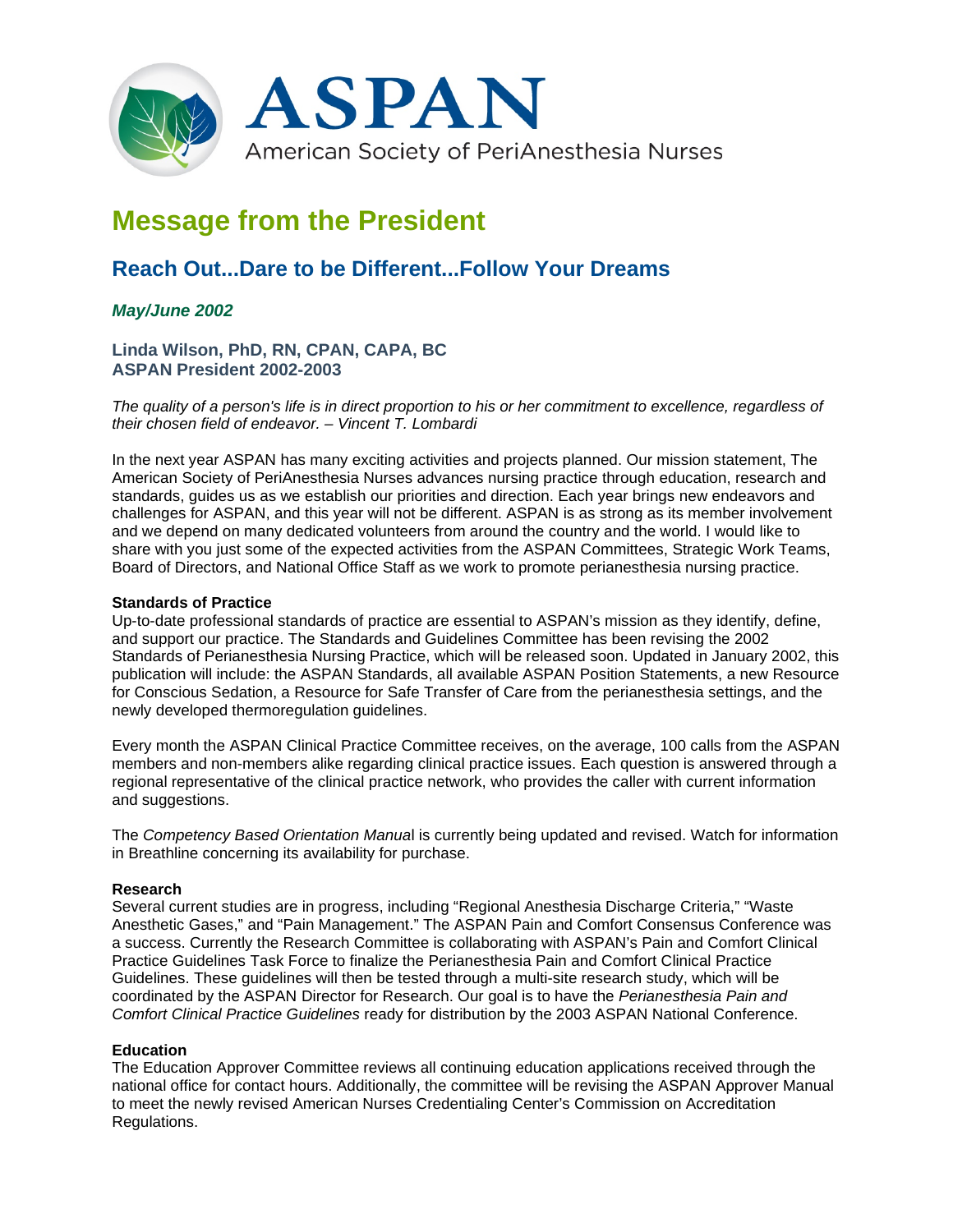

# **Message from the President**

## **Reach Out...Dare to be Different...Follow Your Dreams**

### *May/June 2002*

**Linda Wilson, PhD, RN, CPAN, CAPA, BC ASPAN President 2002-2003**

*The quality of a person's life is in direct proportion to his or her commitment to excellence, regardless of their chosen field of endeavor. – Vincent T. Lombardi*

In the next year ASPAN has many exciting activities and projects planned. Our mission statement, The American Society of PeriAnesthesia Nurses advances nursing practice through education, research and standards, guides us as we establish our priorities and direction. Each year brings new endeavors and challenges for ASPAN, and this year will not be different. ASPAN is as strong as its member involvement and we depend on many dedicated volunteers from around the country and the world. I would like to share with you just some of the expected activities from the ASPAN Committees, Strategic Work Teams, Board of Directors, and National Office Staff as we work to promote perianesthesia nursing practice.

#### **Standards of Practice**

Up-to-date professional standards of practice are essential to ASPAN's mission as they identify, define, and support our practice. The Standards and Guidelines Committee has been revising the 2002 Standards of Perianesthesia Nursing Practice, which will be released soon. Updated in January 2002, this publication will include: the ASPAN Standards, all available ASPAN Position Statements, a new Resource for Conscious Sedation, a Resource for Safe Transfer of Care from the perianesthesia settings, and the newly developed thermoregulation guidelines.

Every month the ASPAN Clinical Practice Committee receives, on the average, 100 calls from the ASPAN members and non-members alike regarding clinical practice issues. Each question is answered through a regional representative of the clinical practice network, who provides the caller with current information and suggestions.

The *Competency Based Orientation Manua*l is currently being updated and revised. Watch for information in Breathline concerning its availability for purchase.

#### **Research**

Several current studies are in progress, including "Regional Anesthesia Discharge Criteria," "Waste Anesthetic Gases," and "Pain Management." The ASPAN Pain and Comfort Consensus Conference was a success. Currently the Research Committee is collaborating with ASPAN's Pain and Comfort Clinical Practice Guidelines Task Force to finalize the Perianesthesia Pain and Comfort Clinical Practice Guidelines. These guidelines will then be tested through a multi-site research study, which will be coordinated by the ASPAN Director for Research. Our goal is to have the *Perianesthesia Pain and Comfort Clinical Practice Guidelines* ready for distribution by the 2003 ASPAN National Conference.

#### **Education**

The Education Approver Committee reviews all continuing education applications received through the national office for contact hours. Additionally, the committee will be revising the ASPAN Approver Manual to meet the newly revised American Nurses Credentialing Center's Commission on Accreditation Regulations.